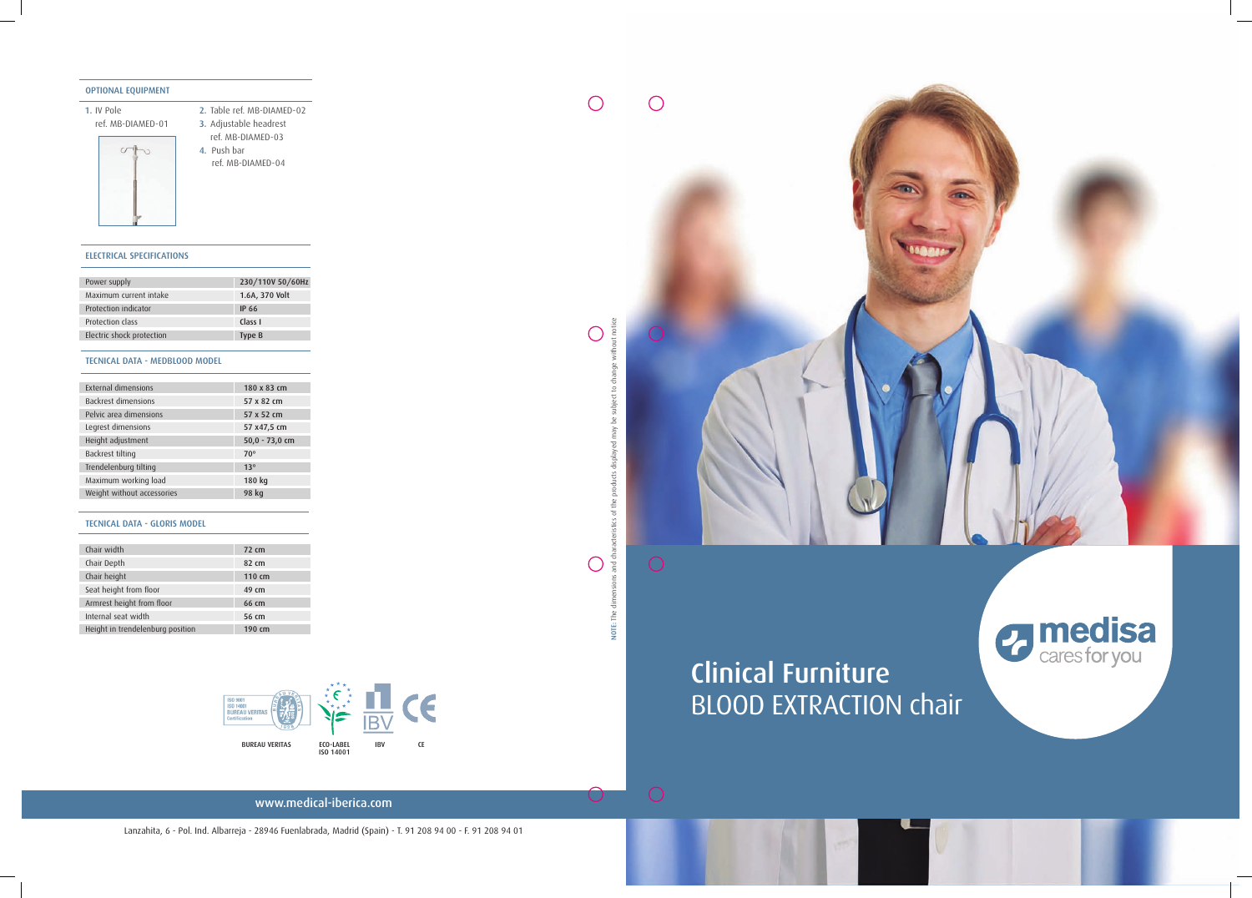## BLOOD EXTRACTION chair Clinical Furniture

 $\bigcirc$ 

 $\bigcirc$ 



www.medical-iberica.com

Lanzahita, 6 - Pol. Ind. Albarreja - 28946 Fuenlabrada, Madrid (Spain) - T. 91 208 94 00 - F. 91 208 94 01





## ELECTRICAL SPECIFICATIONS

| Power supply              | 230/110V 50/60Hz |
|---------------------------|------------------|
| Maximum current intake    | 1.6A, 370 Volt   |
| Protection indicator      | IP 66            |
| Protection class          | Class I          |
| Electric shock protection | Type B           |

## TECNICAL DATA - MEDBLOOD MODEL

| External dimensions        | 180 x 83 cm      |
|----------------------------|------------------|
| <b>Backrest dimensions</b> | 57 x 82 cm       |
| Pelvic area dimensions     | 57 x 52 cm       |
| Legrest dimensions         | 57 x47,5 cm      |
| Height adjustment          | $50,0 - 73,0$ cm |
| Backrest tilting           | 70°              |
| Trendelenburg tilting      | 13 <sup>o</sup>  |
| Maximum working load       | 180 kg           |
| Weight without accessories | 98 kg            |
|                            |                  |

#### OPTIONAL EQUIPMENT

1. IV Pole

ref. MB-DIAMED-01



2. Table ref. MB-DIAMED-02 3. Adjustable headrest ref. MB-DIAMED-03 4. Push bar ref. MB-DIAMED-04

#### TECNICAL DATA - GLORIS MODEL

| Chair width                      | 72 cm  |
|----------------------------------|--------|
| Chair Depth                      | 82 cm  |
| Chair height                     | 110 cm |
| Seat height from floor           | 49 cm  |
| Armrest height from floor        | 66 cm  |
| Internal seat width              | 56 cm  |
| Height in trendelenburg position | 190 cm |